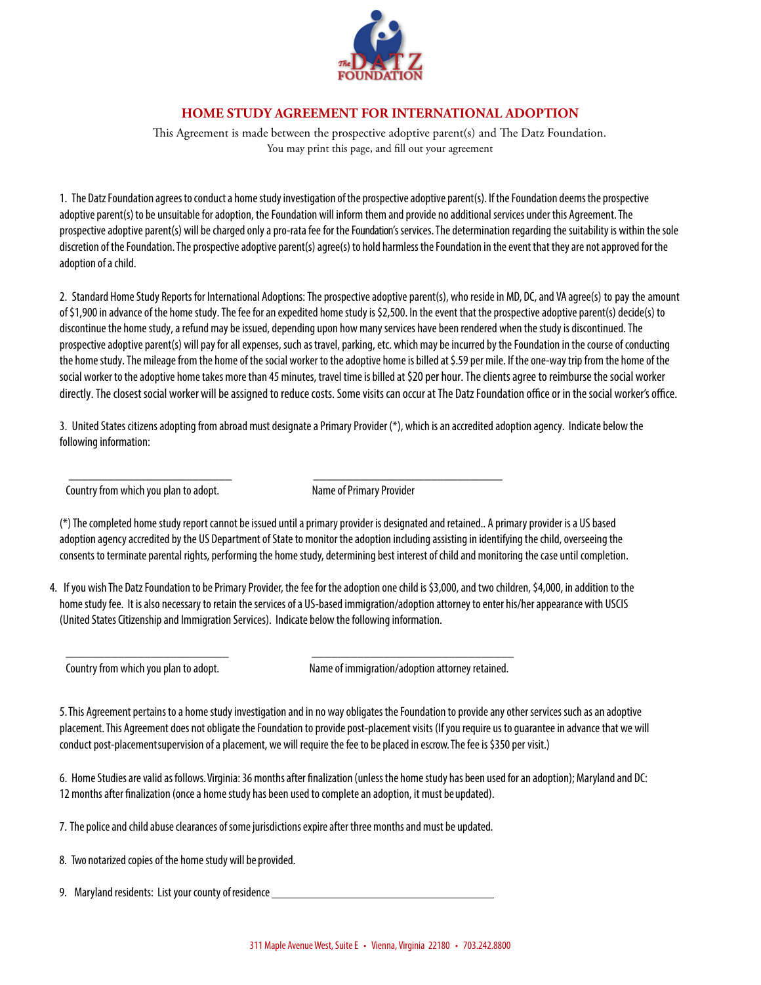

## **HOME STUDY AGREEMENT FOR INTERNATIONAL ADOPTION**

This Agreement is made between the prospective adoptive parent(s) and The Datz Foundation. You may print this page, and fill out your agreement

1. The Datz Foundation agrees toconduct a home study investigation of the prospective adoptive parent(s). If the Foundation deems the prospective adoptive parent(s) to be unsuitable for adoption, the Foundation will inform them and provide no additional services under this Agreement. The prospective adoptive parent(s) will be charged only a pro-rata fee for the Foundation'sservices. The determination regarding the suitability is within the sole discretion of the Foundation. The prospective adoptive parent(s) agree(s) to hold harmless the Foundation in the event that they are not approved for the adoption of a child.

2. Standard Home Study Reports for International Adoptions: The prospective adoptive parent(s), who reside in MD, DC, and VA agree(s) to pay the amount of \$1,900 in advance of the home study. The fee for an expedited home study is \$2,500. In the event that the prospective adoptive parent(s) decide(s) to discontinue the home study, a refund may be issued, depending upon how many services have been rendered when the study is discontinued. The prospective adoptive parent(s) will pay for all expenses, such as travel, parking, etc. which may be incurred by the Foundation in the course of conducting the home study. The mileage from the home of the social worker to the adoptive home is billed at \$.59 per mile. If the one-way trip from the home of the social worker to the adoptive home takes more than 45 minutes, travel time is billed at \$20 per hour. The clients agree to reimburse the social worker directly. The closest social worker will be assigned to reduce costs. Some visits can occur at The Datz Foundation office or in the social worker's office.

3. United States citizens adopting from abroad must designate a Primary Provider (\*), which is an accredited adoption agency. Indicate below the following information:

Country from which you plan to adopt. Name of Primary Provider

(\*) The completed home study report cannot be issued until a primary provider is designated and retained.. A primary provider is a US based adoption agency accredited by the US Department of State to monitor the adoption including assisting in identifying the child, overseeing the consents to terminate parental rights, performing the home study, determining best interest of child and monitoring the case until completion.

\_\_\_\_\_\_\_\_\_\_\_\_\_\_\_\_\_\_\_\_\_\_\_\_\_ \_\_\_\_\_\_\_\_\_\_\_\_\_\_\_\_\_\_\_\_\_\_\_\_\_\_\_\_\_

\_\_\_\_\_\_\_\_\_\_\_\_\_\_\_\_\_\_\_\_\_\_\_\_\_ \_\_\_\_\_\_\_\_\_\_\_\_\_\_\_\_\_\_\_\_\_\_\_\_\_\_\_\_\_\_\_

4. If you wish The Datz Foundation to be Primary Provider, the fee for the adoption one child is \$3,000, and two children, \$4,000, in addition to the home study fee. It is also necessary to retain the services of a US-based immigration/adoption attorney to enter his/her appearance with USCIS (United States Citizenship and Immigration Services). Indicate below the following information.

Country from which you plan to adopt. Name of immigration/adoption attorney retained.

5.This Agreement pertains to a home study investigation and in no way obligates the Foundation to provide any other services such as an adoptive placement. This Agreement does not obligate the Foundation to provide post-placement visits (If you require us to guarantee in advance that we will conduct post-placementsupervision of a placement, we will require the fee to be placed in escrow. The fee is \$350 per visit.)

6. Home Studies are valid as follows. Virginia: 36 months after finalization (unless the home study has been used for an adoption); Maryland and DC: 12 months after finalization (once a home study has been used to complete an adoption, it must be updated).

7. The police and child abuse clearances of some jurisdictions expire after three months and must be updated.

8. Two notarized copies of the home study will be provided.

9. Maryland residents: List your county ofresidence